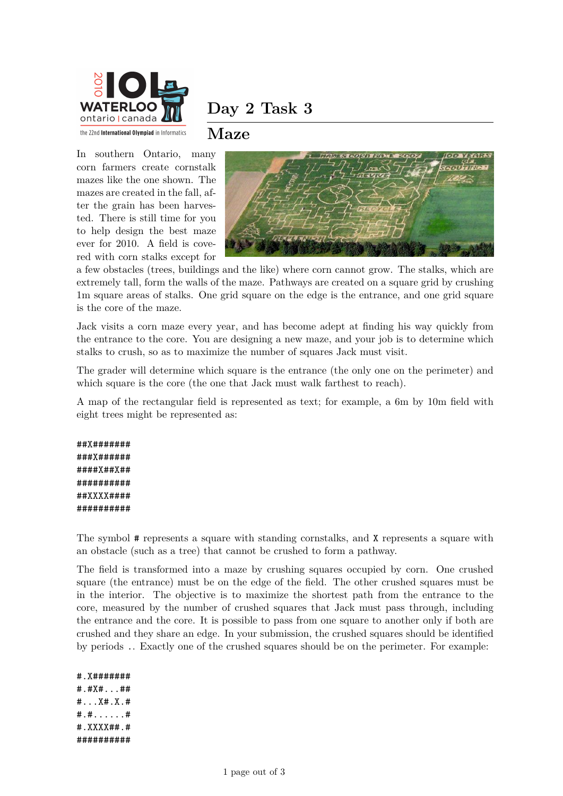

### **Maze**

In southern Ontario, many corn farmers create cornstalk mazes like the one shown. The mazes are created in the fall, after the grain has been harvested. There is still time for you to help design the best maze ever for 2010. A field is covered with corn stalks except for



a few obstacles (trees, buildings and the like) where corn cannot grow. The stalks, which are extremely tall, form the walls of the maze. Pathways are created on a square grid by crushing 1m square areas of stalks. One grid square on the edge is the entrance, and one grid square is the core of the maze.

Jack visits a corn maze every year, and has become adept at finding his way quickly from the entrance to the core. You are designing a new maze, and your job is to determine which stalks to crush, so as to maximize the number of squares Jack must visit.

The grader will determine which square is the entrance (the only one on the perimeter) and which square is the core (the one that Jack must walk farthest to reach).

A map of the rectangular field is represented as text; for example, a 6m by 10m field with eight trees might be represented as:

##X####### ###X###### ####X##X## ########## ##XXXX#### ##########

The symbol # represents a square with standing cornstalks, and X represents a square with an obstacle (such as a tree) that cannot be crushed to form a pathway.

The field is transformed into a maze by crushing squares occupied by corn. One crushed square (the entrance) must be on the edge of the field. The other crushed squares must be in the interior. The objective is to maximize the shortest path from the entrance to the core, measured by the number of crushed squares that Jack must pass through, including the entrance and the core. It is possible to pass from one square to another only if both are crushed and they share an edge. In your submission, the crushed squares should be identified by periods .. Exactly one of the crushed squares should be on the perimeter. For example:

#.X####### #.#X#...## #...X#.X.# #.#......# #.XXXX##.# ##########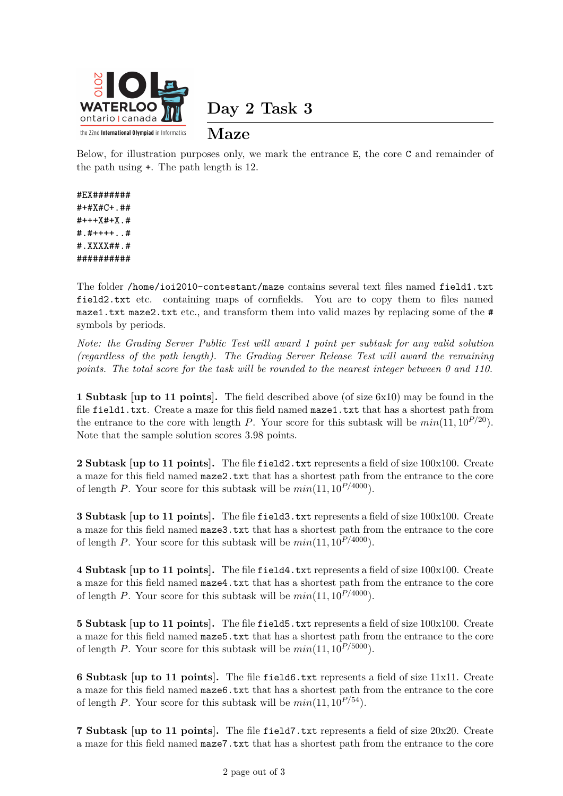

**Day 2 Task 3**

## **Maze**

Below, for illustration purposes only, we mark the entrance E, the core C and remainder of the path using +. The path length is 12.

#### #EX####### #+#X#C+.##

#+++X#+X.# #.#++++..# #.XXXX##.# ##########

The folder /home/ioi2010-contestant/maze contains several text files named field1.txt field2.txt etc. containing maps of cornfields. You are to copy them to files named maze1.txt maze2.txt etc., and transform them into valid mazes by replacing some of the # symbols by periods.

*Note: the Grading Server Public Test will award 1 point per subtask for any valid solution (regardless of the path length). The Grading Server Release Test will award the remaining points. The total score for the task will be rounded to the nearest integer between 0 and 110.*

**1 Subtask [up to 11 points].** The field described above (of size 6x10) may be found in the file field1.txt. Create a maze for this field named maze1.txt that has a shortest path from the entrance to the core with length *P*. Your score for this subtask will be  $min(11, 10^{P/20})$ . Note that the sample solution scores 3.98 points.

**2 Subtask [up to 11 points].** The file field 2.txt represents a field of size 100x100. Create a maze for this field named maze2.txt that has a shortest path from the entrance to the core of length *P*. Your score for this subtask will be  $min(11, 10^{P/4000})$ .

**3 Subtask [up to 11 points].** The file field3.txt represents a field of size 100x100. Create a maze for this field named maze3.txt that has a shortest path from the entrance to the core of length *P*. Your score for this subtask will be  $min(11, 10^{P/4000})$ .

**4 Subtask [up to 11 points].** The file field4.txt represents a field of size 100x100. Create a maze for this field named maze4.txt that has a shortest path from the entrance to the core of length *P*. Your score for this subtask will be  $min(11, 10^{P/4000})$ .

**5 Subtask (up to 11 points).** The file field5.txt represents a field of size 100x100. Create a maze for this field named maze5.txt that has a shortest path from the entrance to the core of length *P*. Your score for this subtask will be *min*(11*,* 10*P/*5000).

**6 Subtask [up to 11 points].** The file field6.txt represents a field of size 11x11. Create a maze for this field named maze6.txt that has a shortest path from the entrance to the core of length *P*. Your score for this subtask will be  $min(11, 10^{P/54})$ .

**7 Subtask [up to 11 points].** The file field7.txt represents a field of size 20x20. Create a maze for this field named maze7.txt that has a shortest path from the entrance to the core